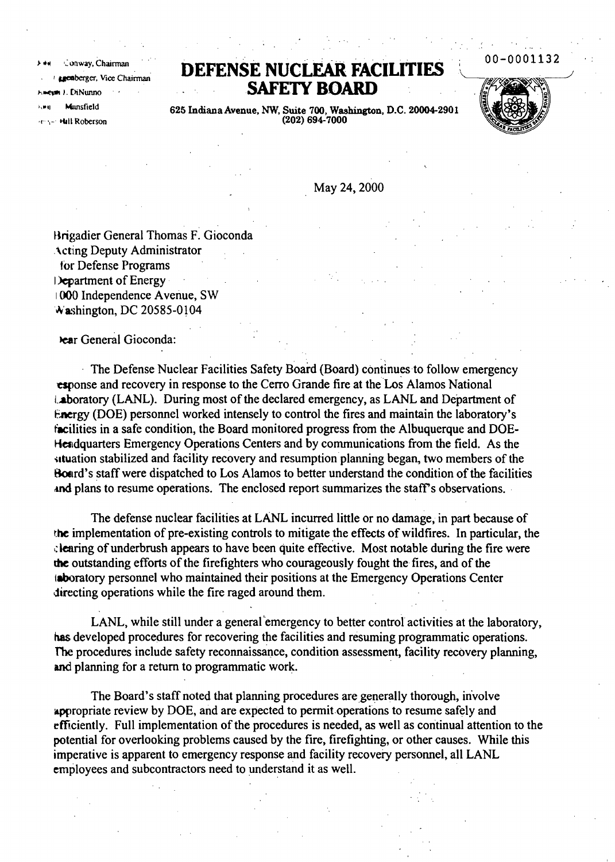Conway, Chairman **I genberger**, Vice Chairman n J. DiNunno Munsfield **Hall Roberson** 

## **DEFENSE NUCLEAR FACILITIES SAFElY BOARD**

00-0001132

625 Indiana Avenue, NW, Suite 700, Washington, D.C. 20004-2901<br>(202) 694-7000

May 24, 2000

Hrigadier General Thomas F. Gioconda .\ct:lng Deputy Administrator tor Defense Programs I>epartment of Energy 1000 Independence Avenue, SW Washington, DC 20585-0104

bear General Gioconda:

The Defense Nuclear Facilities Safety Board (Board) continues to follow emergency esponse and recovery in response to the Cerro Grande fire at the'Los Alamos National Laboratory (LANL). During most of the declared emergency, as LANL and Department of Energy (DOE) personnel worked intensely to control the fires and maintain the laboratory's facilities in a safe condition, the Board monitored progress from the Albuquerque and DOE-Headquarters Emergency Operations Centers and by communications from the field. As the situation stabilized and facility recovery and resumption planning began, two members of the Board's staff were dispatched to Los Alamos to better understand the condition of the facilities and plans to resume operations. The enclosed report summarizes the staff's observations.

The defense nuclear facilities at LANL incurred little or no damage, in part because of the implementation of pre-existing controls to mitigate the effects ofwildfires. In particular, the ,;lenring of underbrush appears to have been quite effective. Most notable during the fire were the outstanding efforts of the firefighters who courageously fought the fires, and of the taboratory personnel who maintained their positions at the Emergency Operations Center directing operations while the fire raged around them.

LANL, while still under a general emergency to better control activities at the laboratory, has developed procedures for recovering the facilities and resuming programmatic operations. The procedures include safety reconnaissance, condition assessment, facility recovery planning, and planning for a return to programmatic work. .

The Board's staff noted that planning procedures are generally thorough, in'volve appropriate review by DOE, and are expected to permit operations to resume safely and efficiently. Full implementation of the procedures is needed, as well as continual attention to the potential for overlooking problems caused by the fire, firefighting, or other causes. While this imperative is apparent to emergency response and facility recovery personnel, all LANL employees and subcontractors need to understand it as well.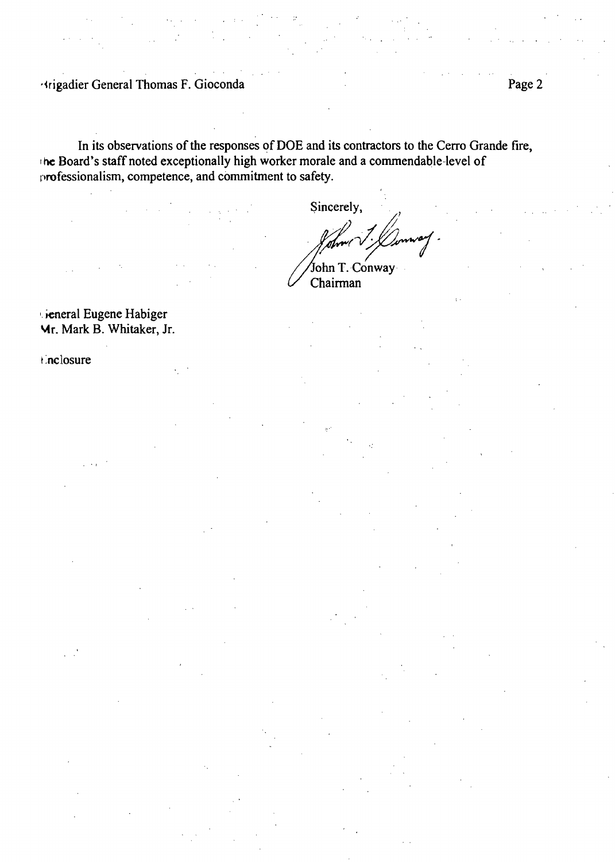**Higadier General Thomas F. Gioconda** 

In its observations of the responses of DOE and its contractors to the Cerro Grande fire, the Board's staff noted exceptionally high worker morale and a commendable level of professionalism, competence, and commitment to safety.

Sincerely,

John T. Conway Chairman

Lieneral Eugene Habiger Mr. Mark B. Whitaker, Jr.

#### *i* nclosure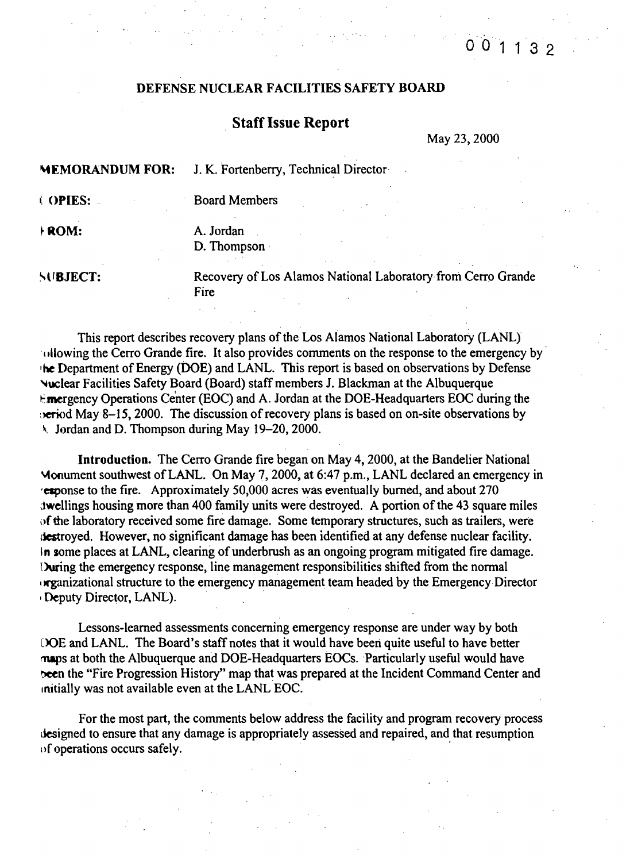# 0 0 1 1 3 2

### DEFENSE NUCLEAR FACILITIES SAFETY BOARD

### **Staff Issue Report**

May 23, 2000

~EMORANDUM FOR: J. K. Fortenberry, Technical Director I: OPIES: Board Members ROM: A. Jordan D. Thompson' SUBJECT: Recovery of Los Alamos National Laboratory from Cerro Grande Fire

This report describes recovery plans of the Los Alamos National Laboratory (LANL) Individual the Cerro Grande fire. It also provides comments on the response to the emergency by  $\overline{ }$ 'he Department of Energy (DoE) and LANL. This report is based on observations by Defense ~uclear Facilities Safety Board (Board) staff members J. Blackman at the Albuquerque  $t$ . mergency Operations Center (EOC) and A. Jordan at the DOE-Headquarters EOC during the  $\epsilon$ . eriod May 8-15, 2000. The discussion of recovery plans is based on on-site observations by  $\lambda$  Jordan and D. Thompson during May 19–20, 2000.

Introduction. The Cerro Grande fire began on May 4, 2000, at the Bandelier National Monument southwest of LANL. On May 7, 2000, at 6:47 p.m., LANL declared an emergency in 'elponse to the fire. Approximately 50,000 acres was eventually burned, and about 270 twellings housing more than 400 family units were destroyed. A portion of the 43 square miles of the laboratory received some fire damage. Some temporary structures, such as trailers, were destroyed. However, no significant damage has been identified at any defense nuclear facility. In some places at LANL, clearing of underbrush as an ongoing program mitigated fire damage. During the emergency response, line management responsibilities shifted from the normal In reganizational structure to the emergency management team headed by the Emergency Director Deputy Director, LANL).

Lessons-learned assessments concerning emergency response are under way by both DOE and LANL. The Board's staff notes that it would have been quite useful to have better maps at both the Albuquerque and DOE-Headquarters EOCs. ·Particularly useful would have been the "Fire Progression History" map that was prepared at the Incident Command Center and Initially was not available even at the LANL EOC.

For the most part, the comments below address the facility and program recovery process designed to ensure that any damage is appropriately assessed and repaired, and that resumption of operations occurs safely. '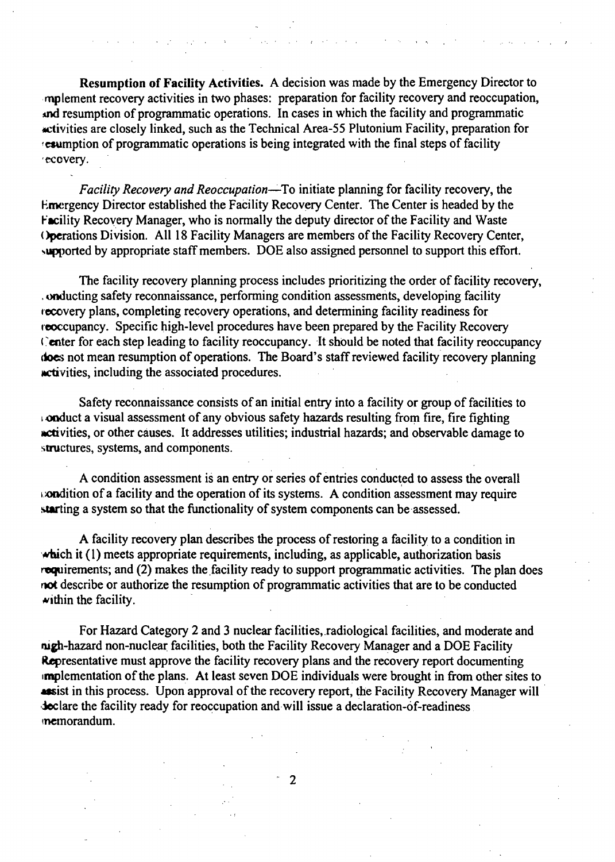Resumption of Facility Activities. A decision was made by the Emergency Director to mplement recovery activities in two phases: preparation for facility recovery and reoccupation, md resumption of programmatic operations. In cases in which the facility and programmatic activities are closely linked, such as the Technical Area-55 Plutonium Facility, preparation for resumption of programmatic operations is being integrated with the final steps of facility 'ecovery.

 $\frac{1}{2}$  ,  $\frac{1}{2}$ 

*Facility Recovery and Reoccupation-"*To initiate planning for facility recovery, the Emergency Director established the Facility Recovery Center. The Center is headed by the Facility Recovery Manager, who is normally the deputy director of the Facility and Waste Operations Division. All 18 Facility Managers are members of the Facility Recovery Center, supported by appropriate staff members. DOE also assigned personnel to support this effort.

The facility recovery planning process includes prioritizing the order of facility recovery, .onducting safety reconnaissance, performing condition assessments, developing facility recovery plans, completing recovery operations, and determining facility readiness for reoccupancy. Specific high-level procedures have been prepared by the Facility Recovery Center for each step leading to facility reoccupancy. It should be noted that facility reoccupancy does not mean resumption of operations. The Board's staff reviewed facility recovery planning netivities, including the associated procedures.

Safety reconnaissance consists of an initial entry into a facility or group of facilities to l.ooduct a visual assessment of any obvious safety hazards resulting from fire, fire fighting netivities, or other causes. It addresses utilities; industrial hazards; and observable damage to structures, systems, and components.

A condition assessment is an entry or series of entries conducted to assess the overall  $\omega$ **ondition of a facility and the operation of its systems.** A condition assessment may require starting a system so that the functionality of system components can be assessed.

A facility recovery plan describes the process of restoring a facility to a condition in which it (1) meets appropriate requirements, including, as applicable, authorization basis  $r$ **equirements; and (2) makes the facility ready to support programmatic activities.** The plan does oot describe or authorize the resumption of programmatic activities that are to be conducted  $\blacktriangleright$  within the facility.

For Hazard Category 2 and 3 nuclear facilities, radiological facilities, and moderate and nigh-hazard non-nuclear facilities, both the Facility Recovery Manager and a DOE Facility Representative must approve the facility recovery plans and the recovery report documenting implementation of the plans. At least seven DOE individuals were brought in from other sites to **ASSET 488.** In this process. Upon approval of the recovery report, the Facility Recovery Manager will declare the facility ready for reoccupation and will issue a declaration-of-readiness lnemorandum.

2